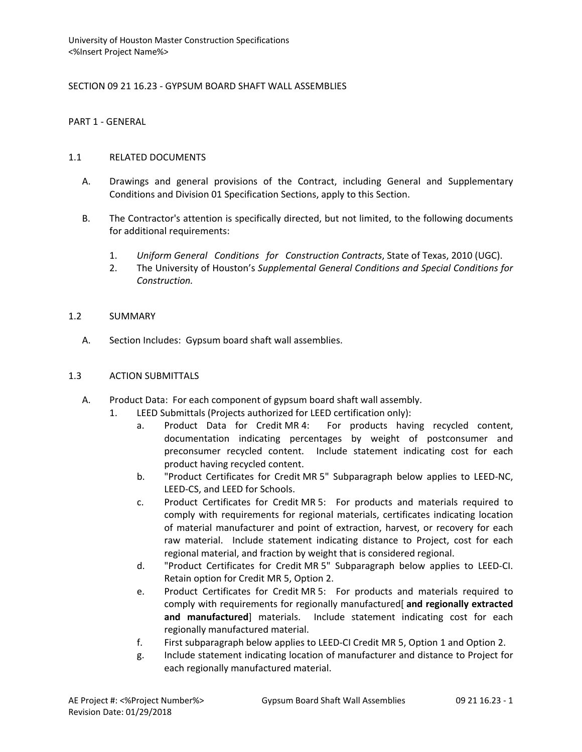SECTION 09 21 16.23 - GYPSUM BOARD SHAFT WALL ASSEMBLIES

PART 1 - GENERAL

# 1.1 RELATED DOCUMENTS

- A. Drawings and general provisions of the Contract, including General and Supplementary Conditions and Division 01 Specification Sections, apply to this Section.
- B. The Contractor's attention is specifically directed, but not limited, to the following documents for additional requirements:
	- 1. *Uniform General Conditions for Construction Contracts*, State of Texas, 2010 (UGC).
	- 2. The University of Houston's *Supplemental General Conditions and Special Conditions for Construction.*

# 1.2 SUMMARY

A. Section Includes: Gypsum board shaft wall assemblies.

# 1.3 ACTION SUBMITTALS

- A. Product Data: For each component of gypsum board shaft wall assembly.
	- 1. LEED Submittals (Projects authorized for LEED certification only):
		- a. Product Data for Credit MR 4: For products having recycled content, documentation indicating percentages by weight of postconsumer and preconsumer recycled content. Include statement indicating cost for each product having recycled content.
		- b. "Product Certificates for Credit MR 5" Subparagraph below applies to LEED-NC, LEED-CS, and LEED for Schools.
		- c. Product Certificates for Credit MR 5: For products and materials required to comply with requirements for regional materials, certificates indicating location of material manufacturer and point of extraction, harvest, or recovery for each raw material. Include statement indicating distance to Project, cost for each regional material, and fraction by weight that is considered regional.
		- d. "Product Certificates for Credit MR 5" Subparagraph below applies to LEED-CI. Retain option for Credit MR 5, Option 2.
		- e. Product Certificates for Credit MR 5: For products and materials required to comply with requirements for regionally manufactured[ **and regionally extracted and manufactured**] materials. Include statement indicating cost for each regionally manufactured material.
		- f. First subparagraph below applies to LEED-CI Credit MR 5, Option 1 and Option 2.
		- g. Include statement indicating location of manufacturer and distance to Project for each regionally manufactured material.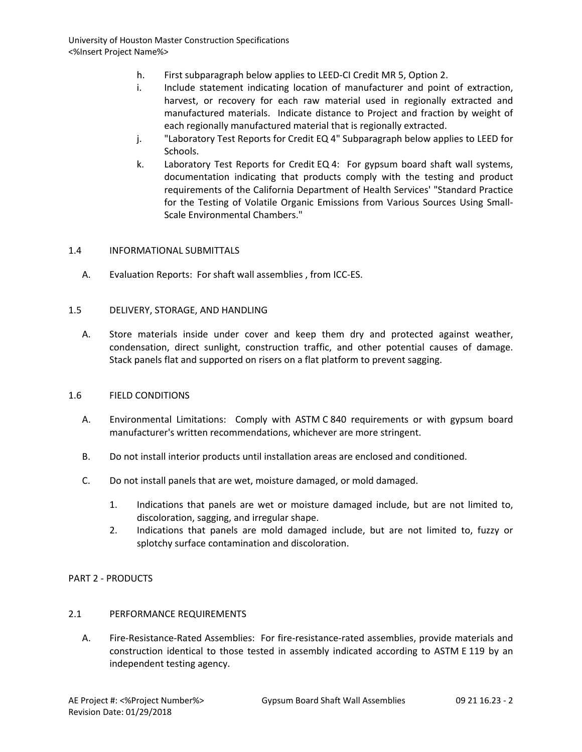- h. First subparagraph below applies to LEED-CI Credit MR 5, Option 2.
- i. Include statement indicating location of manufacturer and point of extraction, harvest, or recovery for each raw material used in regionally extracted and manufactured materials. Indicate distance to Project and fraction by weight of each regionally manufactured material that is regionally extracted.
- j. "Laboratory Test Reports for Credit EQ 4" Subparagraph below applies to LEED for Schools.
- k. Laboratory Test Reports for Credit EQ 4: For gypsum board shaft wall systems, documentation indicating that products comply with the testing and product requirements of the California Department of Health Services' "Standard Practice for the Testing of Volatile Organic Emissions from Various Sources Using Small-Scale Environmental Chambers."

#### 1.4 INFORMATIONAL SUBMITTALS

A. Evaluation Reports: For shaft wall assemblies , from ICC-ES.

#### 1.5 DELIVERY, STORAGE, AND HANDLING

A. Store materials inside under cover and keep them dry and protected against weather, condensation, direct sunlight, construction traffic, and other potential causes of damage. Stack panels flat and supported on risers on a flat platform to prevent sagging.

#### 1.6 FIELD CONDITIONS

- A. Environmental Limitations: Comply with ASTM C 840 requirements or with gypsum board manufacturer's written recommendations, whichever are more stringent.
- B. Do not install interior products until installation areas are enclosed and conditioned.
- C. Do not install panels that are wet, moisture damaged, or mold damaged.
	- 1. Indications that panels are wet or moisture damaged include, but are not limited to, discoloration, sagging, and irregular shape.
	- 2. Indications that panels are mold damaged include, but are not limited to, fuzzy or splotchy surface contamination and discoloration.

## PART 2 - PRODUCTS

## 2.1 PERFORMANCE REQUIREMENTS

A. Fire-Resistance-Rated Assemblies: For fire-resistance-rated assemblies, provide materials and construction identical to those tested in assembly indicated according to ASTM E 119 by an independent testing agency.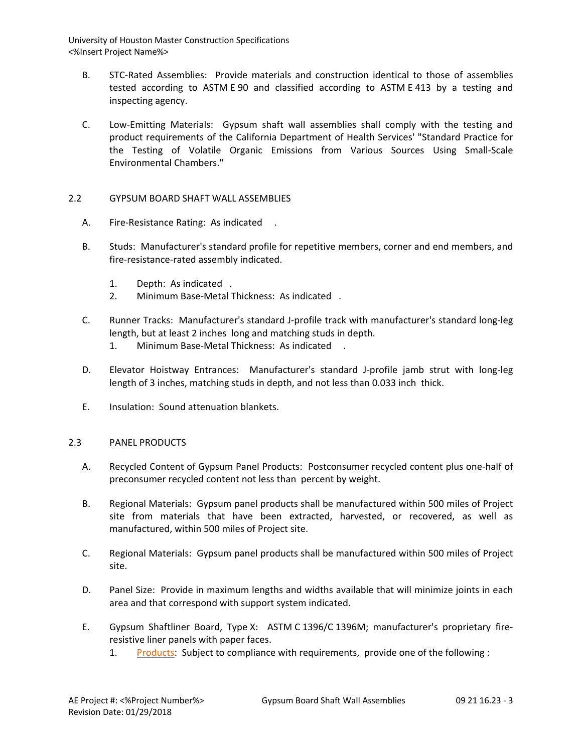- B. STC-Rated Assemblies: Provide materials and construction identical to those of assemblies tested according to ASTM E 90 and classified according to ASTM E 413 by a testing and inspecting agency.
- C. Low-Emitting Materials: Gypsum shaft wall assemblies shall comply with the testing and product requirements of the California Department of Health Services' "Standard Practice for the Testing of Volatile Organic Emissions from Various Sources Using Small-Scale Environmental Chambers."

## 2.2 GYPSUM BOARD SHAFT WALL ASSEMBLIES

- A. Fire-Resistance Rating: As indicated .
- B. Studs: Manufacturer's standard profile for repetitive members, corner and end members, and fire-resistance-rated assembly indicated.
	- 1. Depth: As indicated .
	- 2. Minimum Base-Metal Thickness: As indicated .
- C. Runner Tracks: Manufacturer's standard J-profile track with manufacturer's standard long-leg length, but at least 2 inches long and matching studs in depth.
	- 1. Minimum Base-Metal Thickness: As indicated .
- D. Elevator Hoistway Entrances: Manufacturer's standard J-profile jamb strut with long-leg length of 3 inches, matching studs in depth, and not less than 0.033 inch thick.
- E. Insulation: Sound attenuation blankets.

## 2.3 PANEL PRODUCTS

- A. Recycled Content of Gypsum Panel Products: Postconsumer recycled content plus one-half of preconsumer recycled content not less than percent by weight.
- B. Regional Materials: Gypsum panel products shall be manufactured within 500 miles of Project site from materials that have been extracted, harvested, or recovered, as well as manufactured, within 500 miles of Project site.
- C. Regional Materials: Gypsum panel products shall be manufactured within 500 miles of Project site.
- D. Panel Size: Provide in maximum lengths and widths available that will minimize joints in each area and that correspond with support system indicated.
- E. Gypsum Shaftliner Board, Type X: ASTM C 1396/C 1396M; manufacturer's proprietary fireresistive liner panels with paper faces.
	- 1. [Products:](http://www.specagent.com/LookUp/?ulid=5384&mf=04&src=wd) Subject to compliance with requirements, provide one of the following :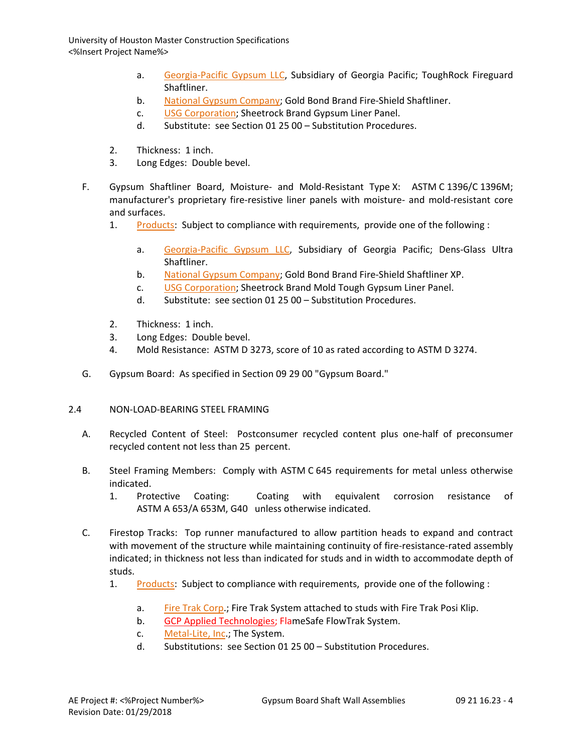- a. [Georgia-Pacific Gypsum LLC,](http://www.specagent.com/LookUp/?uid=123456792175&mf=04&src=wd) Subsidiary of Georgia Pacific; ToughRock Fireguard Shaftliner.
- b. [National Gypsum Company;](http://www.specagent.com/LookUp/?uid=123456792179&mf=04&src=wd) Gold Bond Brand Fire-Shield Shaftliner.
- c. [USG Corporation;](http://www.specagent.com/LookUp/?uid=123456792186&mf=04&src=wd) Sheetrock Brand Gypsum Liner Panel.
- d. Substitute: see Section 01 25 00 Substitution Procedures.
- 2. Thickness: 1 inch.
- 3. Long Edges: Double bevel.
- F. Gypsum Shaftliner Board, Moisture- and Mold-Resistant Type X: ASTM C 1396/C 1396M; manufacturer's proprietary fire-resistive liner panels with moisture- and mold-resistant core and surfaces.
	- 1. [Products:](http://www.specagent.com/LookUp/?ulid=5385&mf=04&src=wd) Subject to compliance with requirements, provide one of the following :
		- a. [Georgia-Pacific Gypsum LLC,](http://www.specagent.com/LookUp/?uid=123456792189&mf=04&src=wd) Subsidiary of Georgia Pacific; Dens-Glass Ultra Shaftliner.
		- b. [National Gypsum Company;](http://www.specagent.com/LookUp/?uid=123456792190&mf=04&src=wd) Gold Bond Brand Fire-Shield Shaftliner XP.
		- c. [USG Corporation;](http://www.specagent.com/LookUp/?uid=123456792195&mf=04&src=wd) Sheetrock Brand Mold Tough Gypsum Liner Panel.
		- d. Substitute: see section 01 25 00 Substitution Procedures.
	- 2. Thickness: 1 inch.
	- 3. Long Edges: Double bevel.
	- 4. Mold Resistance: ASTM D 3273, score of 10 as rated according to ASTM D 3274.
- G. Gypsum Board: As specified in Section 09 29 00 "Gypsum Board."

## 2.4 NON-LOAD-BEARING STEEL FRAMING

- A. Recycled Content of Steel: Postconsumer recycled content plus one-half of preconsumer recycled content not less than 25 percent.
- B. Steel Framing Members: Comply with ASTM C 645 requirements for metal unless otherwise indicated.
	- 1. Protective Coating: Coating with equivalent corrosion resistance of ASTM A 653/A 653M, G40 unless otherwise indicated.
- C. Firestop Tracks: Top runner manufactured to allow partition heads to expand and contract with movement of the structure while maintaining continuity of fire-resistance-rated assembly indicated; in thickness not less than indicated for studs and in width to accommodate depth of studs.
	- 1. [Products:](http://www.specagent.com/LookUp/?ulid=5386&mf=04&src=wd) Subject to compliance with requirements, provide one of the following :
		- a. [Fire Trak Corp.](http://www.specagent.com/LookUp/?uid=123456792196&mf=04&src=wd); Fire Trak System attached to studs with Fire Trak Posi Klip.
		- b. GCP Applied Technologies; FlameSafe FlowTrak System.
		- c. [Metal-Lite, Inc.;](http://www.specagent.com/LookUp/?uid=123456792198&mf=04&src=wd) The System.
		- d. Substitutions: see Section 01 25 00 Substitution Procedures.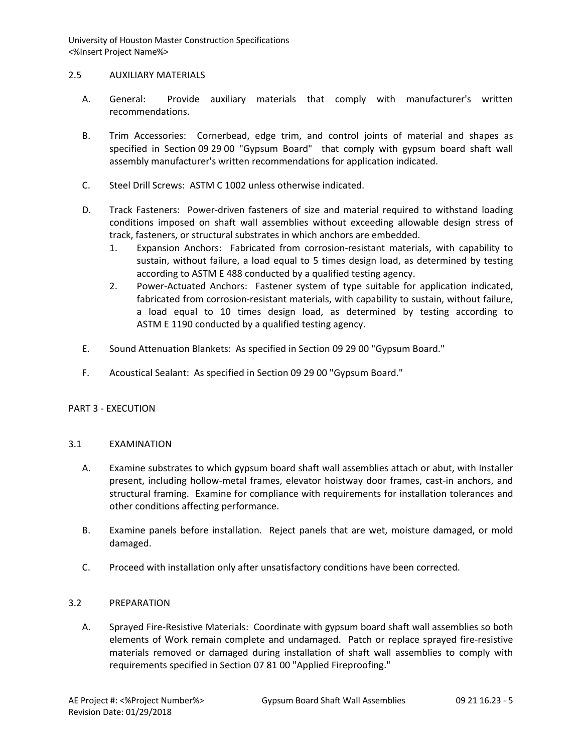#### 2.5 AUXILIARY MATERIALS

- A. General: Provide auxiliary materials that comply with manufacturer's written recommendations.
- B. Trim Accessories: Cornerbead, edge trim, and control joints of material and shapes as specified in Section 09 29 00 "Gypsum Board" that comply with gypsum board shaft wall assembly manufacturer's written recommendations for application indicated.
- C. Steel Drill Screws: ASTM C 1002 unless otherwise indicated.
- D. Track Fasteners: Power-driven fasteners of size and material required to withstand loading conditions imposed on shaft wall assemblies without exceeding allowable design stress of track, fasteners, or structural substrates in which anchors are embedded.
	- 1. Expansion Anchors: Fabricated from corrosion-resistant materials, with capability to sustain, without failure, a load equal to 5 times design load, as determined by testing according to ASTM E 488 conducted by a qualified testing agency.
	- 2. Power-Actuated Anchors: Fastener system of type suitable for application indicated, fabricated from corrosion-resistant materials, with capability to sustain, without failure, a load equal to 10 times design load, as determined by testing according to ASTM E 1190 conducted by a qualified testing agency.
- E. Sound Attenuation Blankets: As specified in Section 09 29 00 "Gypsum Board."
- F. Acoustical Sealant: As specified in Section 09 29 00 "Gypsum Board."

## PART 3 - EXECUTION

## 3.1 EXAMINATION

- A. Examine substrates to which gypsum board shaft wall assemblies attach or abut, with Installer present, including hollow-metal frames, elevator hoistway door frames, cast-in anchors, and structural framing. Examine for compliance with requirements for installation tolerances and other conditions affecting performance.
- B. Examine panels before installation. Reject panels that are wet, moisture damaged, or mold damaged.
- C. Proceed with installation only after unsatisfactory conditions have been corrected.

## 3.2 PREPARATION

A. Sprayed Fire-Resistive Materials: Coordinate with gypsum board shaft wall assemblies so both elements of Work remain complete and undamaged. Patch or replace sprayed fire-resistive materials removed or damaged during installation of shaft wall assemblies to comply with requirements specified in Section 07 81 00 "Applied Fireproofing."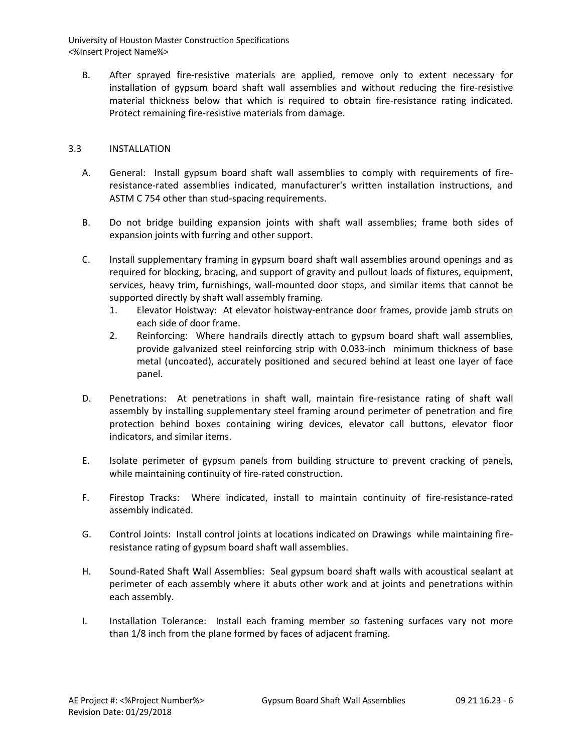B. After sprayed fire-resistive materials are applied, remove only to extent necessary for installation of gypsum board shaft wall assemblies and without reducing the fire-resistive material thickness below that which is required to obtain fire-resistance rating indicated. Protect remaining fire-resistive materials from damage.

## 3.3 INSTALLATION

- A. General: Install gypsum board shaft wall assemblies to comply with requirements of fireresistance-rated assemblies indicated, manufacturer's written installation instructions, and ASTM C 754 other than stud-spacing requirements.
- B. Do not bridge building expansion joints with shaft wall assemblies; frame both sides of expansion joints with furring and other support.
- C. Install supplementary framing in gypsum board shaft wall assemblies around openings and as required for blocking, bracing, and support of gravity and pullout loads of fixtures, equipment, services, heavy trim, furnishings, wall-mounted door stops, and similar items that cannot be supported directly by shaft wall assembly framing.
	- 1. Elevator Hoistway: At elevator hoistway-entrance door frames, provide jamb struts on each side of door frame.
	- 2. Reinforcing: Where handrails directly attach to gypsum board shaft wall assemblies, provide galvanized steel reinforcing strip with 0.033-inch minimum thickness of base metal (uncoated), accurately positioned and secured behind at least one layer of face panel.
- D. Penetrations: At penetrations in shaft wall, maintain fire-resistance rating of shaft wall assembly by installing supplementary steel framing around perimeter of penetration and fire protection behind boxes containing wiring devices, elevator call buttons, elevator floor indicators, and similar items.
- E. Isolate perimeter of gypsum panels from building structure to prevent cracking of panels, while maintaining continuity of fire-rated construction.
- F. Firestop Tracks: Where indicated, install to maintain continuity of fire-resistance-rated assembly indicated.
- G. Control Joints: Install control joints at locations indicated on Drawings while maintaining fireresistance rating of gypsum board shaft wall assemblies.
- H. Sound-Rated Shaft Wall Assemblies: Seal gypsum board shaft walls with acoustical sealant at perimeter of each assembly where it abuts other work and at joints and penetrations within each assembly.
- I. Installation Tolerance: Install each framing member so fastening surfaces vary not more than 1/8 inch from the plane formed by faces of adjacent framing.